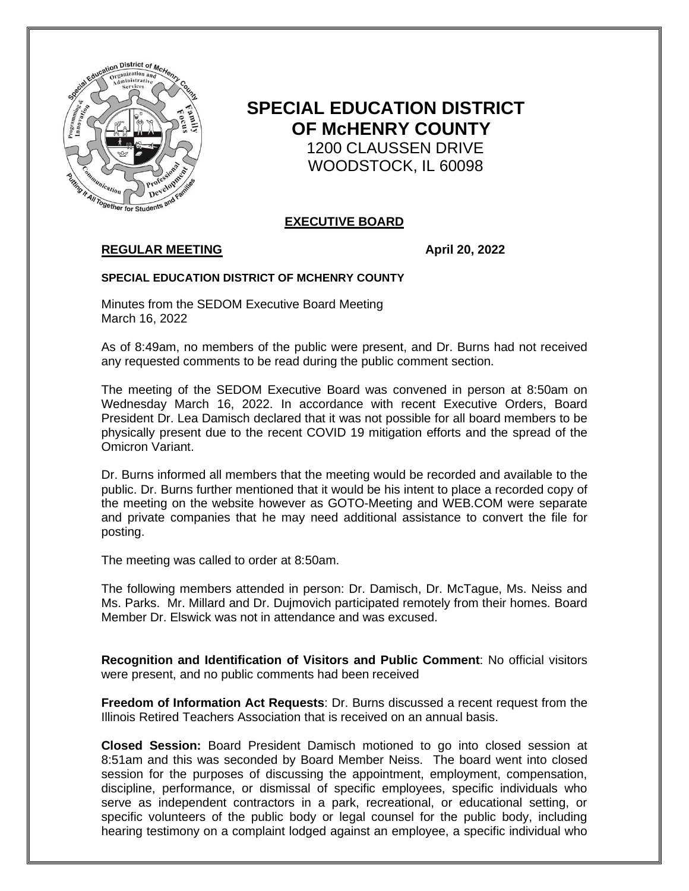

# **SPECIAL EDUCATION DISTRICT OF McHENRY COUNTY** 1200 CLAUSSEN DRIVE WOODSTOCK, IL 60098

### **EXECUTIVE BOARD**

## **REGULAR MEETING**  April 20, 2022

#### **SPECIAL EDUCATION DISTRICT OF MCHENRY COUNTY**

Minutes from the SEDOM Executive Board Meeting March 16, 2022

As of 8:49am, no members of the public were present, and Dr. Burns had not received any requested comments to be read during the public comment section.

The meeting of the SEDOM Executive Board was convened in person at 8:50am on Wednesday March 16, 2022. In accordance with recent Executive Orders, Board President Dr. Lea Damisch declared that it was not possible for all board members to be physically present due to the recent COVID 19 mitigation efforts and the spread of the Omicron Variant.

Dr. Burns informed all members that the meeting would be recorded and available to the public. Dr. Burns further mentioned that it would be his intent to place a recorded copy of the meeting on the website however as GOTO-Meeting and WEB.COM were separate and private companies that he may need additional assistance to convert the file for posting.

The meeting was called to order at 8:50am.

The following members attended in person: Dr. Damisch, Dr. McTague, Ms. Neiss and Ms. Parks. Mr. Millard and Dr. Dujmovich participated remotely from their homes. Board Member Dr. Elswick was not in attendance and was excused.

**Recognition and Identification of Visitors and Public Comment**: No official visitors were present, and no public comments had been received

**Freedom of Information Act Requests**: Dr. Burns discussed a recent request from the Illinois Retired Teachers Association that is received on an annual basis.

**Closed Session:** Board President Damisch motioned to go into closed session at 8:51am and this was seconded by Board Member Neiss.The board went into closed session for the purposes of discussing the appointment, employment, compensation, discipline, performance, or dismissal of specific employees, specific individuals who serve as independent contractors in a park, recreational, or educational setting, or specific volunteers of the public body or legal counsel for the public body, including hearing testimony on a complaint lodged against an employee, a specific individual who